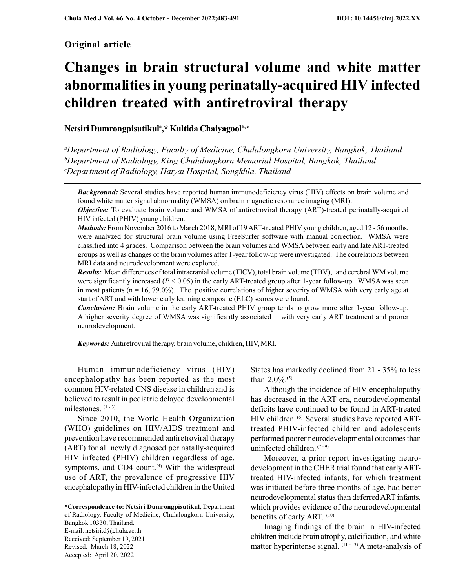# Original article

# Changes in brain structural volume and white matter abnormalities in young perinatally-acquired HIV infected children treated with antiretroviral therapy

# Netsiri Dumrongpisutikul<sup>a</sup>,\* Kultida Chaiyagool<sup>b, c</sup>

<sup>a</sup>Department of Radiology, Faculty of Medicine, Chulalongkorn University, Bangkok, Thailand  $b$ Department of Radiology, King Chulalongkorn Memorial Hospital, Bangkok, Thailand <sup>c</sup>Department of Radiology, Hatyai Hospital, Songkhla, Thailand

**Background:** Several studies have reported human immunodeficiency virus (HIV) effects on brain volume and found white matter signal abnormality (WMSA) on brain magnetic resonance imaging (MRI).

**Objective:** To evaluate brain volume and WMSA of antiretroviral therapy (ART)-treated perinatally-acquired HIV infected (PHIV) young children.

Methods: From November 2016 to March 2018, MRI of 19 ART-treated PHIV young children, aged 12 - 56 months, were analyzed for structural brain volume using FreeSurfer software with manual correction. WMSA were classified into 4 grades. Comparison between the brain volumes and WMSA between early and late ART-treated groups as well as changes of the brain volumes after 1-year follow-up were investigated. The correlations between MRI data and neurodevelopment were explored.

Results: Mean differences of total intracranial volume (TICV), total brain volume (TBV), and cerebral WM volume were significantly increased ( $P < 0.05$ ) in the early ART-treated group after 1-year follow-up. WMSA was seen in most patients  $(n = 16, 79.0\%)$ . The positive correlations of higher severity of WMSA with very early age at start of ART and with lower early learning composite (ELC) scores were found.

**Conclusion:** Brain volume in the early ART-treated PHIV group tends to grow more after 1-year follow-up. A higher severity degree of WMSA was significantly associated with very early ART treatment and poorer neurodevelopment.

Keywords: Antiretroviral therapy, brain volume, children, HIV, MRI.

Human immunodeficiency virus (HIV) encephalopathy has been reported as the most common HIV-related CNS disease in children and is believed to result in pediatric delayed developmental milestones. (1 - 3)

Since 2010, the World Health Organization (WHO) guidelines on HIV/AIDS treatment and prevention have recommended antiretroviral therapy (ART) for all newly diagnosed perinatally-acquired HIV infected (PHIV) children regardless of age, symptoms, and CD4 count.<sup>(4)</sup> With the widespread use of ART, the prevalence of progressive HIV encephalopathy in HIV-infected children in the United

\*Correspondence to: Netsiri Dumrongpisutikul, Department of Radiology, Faculty of Medicine, Chulalongkorn University, Bangkok 10330, Thailand. E-mail: netsiri.d@chula.ac.th Received: September 19, 2021 Revised: March 18, 2022 Accepted: April 20, 2022

States has markedly declined from 21 - 35% to less than 2.0%.(5)

Although the incidence of HIV encephalopathy has decreased in the ART era, neurodevelopmental deficits have continued to be found in ART-treated HIV children. <sup>(6)</sup> Several studies have reported ARTtreated PHIV-infected children and adolescents performed poorer neurodevelopmental outcomes than uninfected children.  $(7-9)$ 

Moreover, a prior report investigating neurodevelopment in the CHER trial found that early ARTtreated HIV-infected infants, for which treatment was initiated before three months of age, had better neurodevelopmental status than deferred ART infants, which provides evidence of the neurodevelopmental benefits of early ART. (10)

Imaging findings of the brain in HIV-infected children include brain atrophy, calcification, and white matter hyperintense signal.  $(11 - 13)$  A meta-analysis of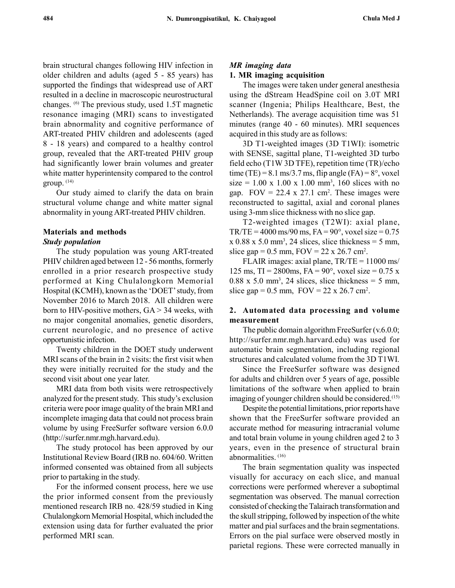brain structural changes following HIV infection in older children and adults (aged 5 - 85 years) has supported the findings that widespread use of ART resulted in a decline in macroscopic neurostructural changes. (6) The previous study, used 1.5T magnetic resonance imaging (MRI) scans to investigated brain abnormality and cognitive performance of ART-treated PHIV children and adolescents (aged 8 - 18 years) and compared to a healthy control group, revealed that the ART-treated PHIV group had significantly lower brain volumes and greater white matter hyperintensity compared to the control group. (14)

Our study aimed to clarify the data on brain structural volume change and white matter signal abnormality in young ART-treated PHIV children.

#### Materials and methods

#### Study population

The study population was young ART-treated PHIV children aged between 12 - 56 months, formerly enrolled in a prior research prospective study performed at King Chulalongkorn Memorial Hospital (KCMH), known as the 'DOET' study, from November 2016 to March 2018. All children were born to HIV-positive mothers,  $GA > 34$  weeks, with no major congenital anomalies, genetic disorders, current neurologic, and no presence of active opportunistic infection.

Twenty children in the DOET study underwent MRI scans of the brain in 2 visits: the first visit when they were initially recruited for the study and the second visit about one year later.

MRI data from both visits were retrospectively analyzed for the present study. This study's exclusion criteria were poor image quality of the brain MRI and incomplete imaging data that could not process brain volume by using FreeSurfer software version 6.0.0 (http://surfer.nmr.mgh.harvard.edu).

The study protocol has been approved by our Institutional Review Board (IRB no. 604/60. Written informed consented was obtained from all subjects prior to partaking in the study.

For the informed consent process, here we use the prior informed consent from the previously mentioned research IRB no. 428/59 studied in King Chulalongkorn Memorial Hospital, which included the extension using data for further evaluated the prior performed MRI scan.

#### MR imaging data

#### 1. MR imaging acquisition

The images were taken under general anesthesia using the dStream HeadSpine coil on 3.0T MRI scanner (Ingenia; Philips Healthcare, Best, the Netherlands). The average acquisition time was 51 minutes (range 40 - 60 minutes). MRI sequences acquired in this study are as follows:

3D T1-weighted images (3D T1WI): isometric with SENSE, sagittal plane, T1-weighted 3D turbo field echo (T1W 3D TFE), repetition time (TR)/echo time (TE) =  $8.1 \text{ ms}/3.7 \text{ ms}$ , flip angle (FA) =  $8^\circ$ , voxel  $size = 1.00 \times 1.00 \times 1.00 \text{ mm}^3$ , 160 slices with no gap.  $FOV = 22.4 \times 27.1 \text{ cm}^2$ . These images were reconstructed to sagittal, axial and coronal planes using 3-mm slice thickness with no slice gap.

T2-weighted images (T2WI): axial plane,  $TR/TE = 4000$  ms/90 ms,  $FA = 90^\circ$ , voxel size = 0.75  $x$  0.88 x 5.0 mm<sup>3</sup>, 24 slices, slice thickness = 5 mm, slice gap =  $0.5$  mm,  $FOV = 22 \times 26.7$  cm<sup>2</sup>.

FLAIR images: axial plane, TR/TE = 11000 ms/ 125 ms,  $TI = 2800$ ms,  $FA = 90^{\circ}$ , voxel size = 0.75 x  $0.88 \times 5.0 \text{ mm}^3$ , 24 slices, slice thickness = 5 mm, slice gap =  $0.5$  mm,  $FOV = 22 \times 26.7$  cm<sup>2</sup>.

## 2. Automated data processing and volume measurement

The public domain algorithm FreeSurfer  $(v.6.0.0;$ http://surfer.nmr.mgh.harvard.edu) was used for automatic brain segmentation, including regional structures and calculated volume from the 3D T1WI.

Since the FreeSurfer software was designed for adults and children over 5 years of age, possible limitations of the software when applied to brain imaging of younger children should be considered.(15)

Despite the potential limitations, prior reports have shown that the FreeSurfer software provided an accurate method for measuring intracranial volume and total brain volume in young children aged 2 to 3 years, even in the presence of structural brain abnormalities. (16)

The brain segmentation quality was inspected visually for accuracy on each slice, and manual corrections were performed wherever a suboptimal segmentation was observed. The manual correction consisted of checking the Talairach transformation and the skull stripping, followed by inspection of the white matter and pial surfaces and the brain segmentations. Errors on the pial surface were observed mostly in parietal regions. These were corrected manually in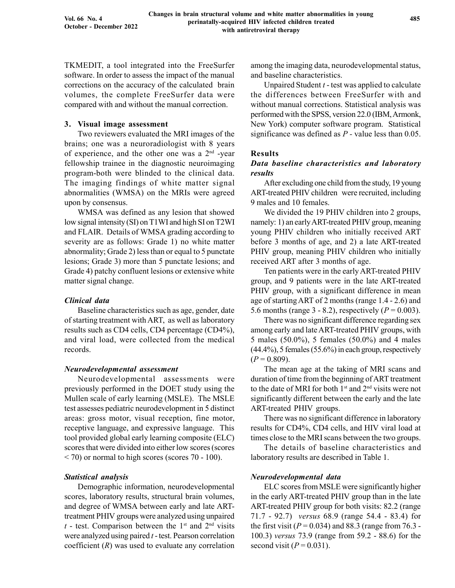TKMEDIT, a tool integrated into the FreeSurfer software. In order to assess the impact of the manual corrections on the accuracy of the calculated brain volumes, the complete FreeSurfer data were compared with and without the manual correction.

## 3. Visual image assessment

Two reviewers evaluated the MRI images of the brains; one was a neuroradiologist with 8 years of experience, and the other one was a  $2<sup>nd</sup>$  -year fellowship trainee in the diagnostic neuroimaging program-both were blinded to the clinical data. The imaging findings of white matter signal abnormalities (WMSA) on the MRIs were agreed upon by consensus.

WMSA was defined as any lesion that showed low signal intensity (SI) on T1WI and high SI on T2WI and FLAIR. Details of WMSA grading according to severity are as follows: Grade 1) no white matter abnormality; Grade 2) less than or equal to 5 punctate lesions; Grade 3) more than 5 punctate lesions; and Grade 4) patchy confluent lesions or extensive white matter signal change.

## Clinical data

Baseline characteristics such as age, gender, date of starting treatment with ART, as well as laboratory results such as CD4 cells, CD4 percentage (CD4%), and viral load, were collected from the medical records.

#### Neurodevelopmental assessment

Neurodevelopmental assessments were previously performed in the DOET study using the Mullen scale of early learning (MSLE). The MSLE test assesses pediatric neurodevelopment in 5 distinct areas: gross motor, visual reception, fine motor, receptive language, and expressive language. This tool provided global early learning composite (ELC) scores that were divided into either low scores (scores < 70) or normal to high scores (scores 70 - 100).

#### Statistical analysis

Demographic information, neurodevelopmental scores, laboratory results, structural brain volumes, and degree of WMSA between early and late ARTtreatment PHIV groups were analyzed using unpaired  $t$  - test. Comparison between the 1<sup>st</sup> and 2<sup>nd</sup> visits were analyzed using paired  $t$  - test. Pearson correlation coefficient  $(R)$  was used to evaluate any correlation among the imaging data, neurodevelopmental status, and baseline characteristics.

Unpaired Student  $t$  - test was applied to calculate the differences between FreeSurfer with and without manual corrections. Statistical analysis was performed with the SPSS, version 22.0 (IBM, Armonk, New York) computer software program. Statistical significance was defined as  $P$  - value less than 0.05.

## Results

## Data baseline characteristics and laboratory results

After excluding one child from the study, 19 young ART-treated PHIV children were recruited, including 9 males and 10 females.

We divided the 19 PHIV children into 2 groups, namely: 1) an early ART-treated PHIV group, meaning young PHIV children who initially received ART before 3 months of age, and 2) a late ART-treated PHIV group, meaning PHIV children who initially received ART after 3 months of age.

Ten patients were in the early ART-treated PHIV group, and 9 patients were in the late ART-treated PHIV group, with a significant difference in mean age of starting ART of 2 months (range 1.4 - 2.6) and 5.6 months (range 3 - 8.2), respectively ( $P = 0.003$ ).

There was no significant difference regarding sex among early and late ART-treated PHIV groups, with 5 males (50.0%), 5 females (50.0%) and 4 males (44.4%), 5 females (55.6%) in each group, respectively  $(P = 0.809)$ .

The mean age at the taking of MRI scans and duration of time from the beginning of ART treatment to the date of MRI for both  $1<sup>st</sup>$  and  $2<sup>nd</sup>$  visits were not significantly different between the early and the late ART-treated PHIV groups.

There was no significant difference in laboratory results for CD4%, CD4 cells, and HIV viral load at times close to the MRI scans between the two groups.

The details of baseline characteristics and laboratory results are described in Table 1.

#### Neurodevelopmental data

ELC scores from MSLE were significantly higher in the early ART-treated PHIV group than in the late ART-treated PHIV group for both visits: 82.2 (range 71.7 - 92.7) versus 68.9 (range 54.4 - 83.4) for the first visit ( $P = 0.034$ ) and 88.3 (range from 76.3 -100.3) versus 73.9 (range from 59.2 - 88.6) for the second visit  $(P = 0.031)$ .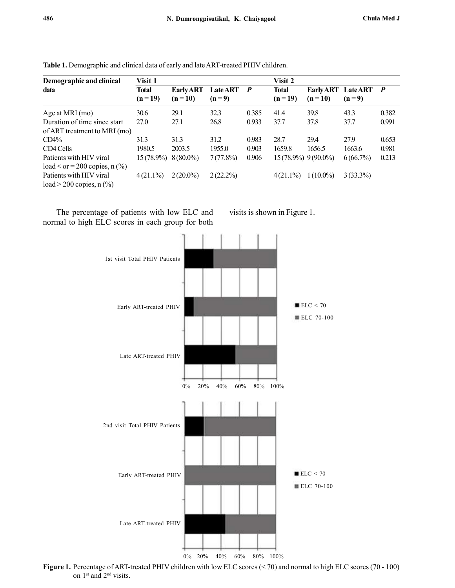| Demographic and clinical                                   | Visit 1                  |                              |                            | Visit 2          |                          |                              |                            |              |
|------------------------------------------------------------|--------------------------|------------------------------|----------------------------|------------------|--------------------------|------------------------------|----------------------------|--------------|
| data                                                       | <b>Total</b><br>$(n=19)$ | <b>Early ART</b><br>$(n=10)$ | <b>Late ART</b><br>$(n=9)$ | $\boldsymbol{P}$ | <b>Total</b><br>$(n=19)$ | <b>Early ART</b><br>$(n=10)$ | <b>Late ART</b><br>$(n=9)$ | $\mathbf{P}$ |
| Age at MRI (mo)                                            | 30.6                     | 29.1                         | 32.3                       | 0.385            | 41.4                     | 39.8                         | 43.3                       | 0.382        |
| Duration of time since start                               | 27.0                     | 27.1                         | 26.8                       | 0.933            | 37.7                     | 37.8                         | 37.7                       | 0.991        |
| of ART treatment to MRI (mo)                               |                          |                              |                            |                  |                          |                              |                            |              |
| $CD4\%$                                                    | 31.3                     | 31.3                         | 31.2                       | 0.983            | 28.7                     | 29.4                         | 27.9                       | 0.653        |
| CD4 Cells                                                  | 1980.5                   | 2003.5                       | 1955.0                     | 0.903            | 1659.8                   | 1656.5                       | 1663.6                     | 0.981        |
| Patients with HIV viral<br>$load < or = 200 copies, n(\%)$ | $15(78.9\%)$             | $8(80.0\%)$                  | 7(77.8%)                   | 0.906            | $15(78.9\%)$ 9(90.0%)    |                              | 6(66.7%)                   | 0.213        |
| Patients with HIV viral<br>load $>$ 200 copies, n $(\% )$  | $4(21.1\%)$              | $2(20.0\%)$                  | $2(22.2\%)$                |                  | $4(21.1\%)$              | $1(10.0\%)$                  | $3(33.3\%)$                |              |

Table 1. Demographic and clinical data of early and late ART-treated PHIV children.

The percentage of patients with low ELC and normal to high ELC scores in each group for both visits is shown in Figure 1.



Figure 1. Percentage of ART-treated PHIV children with low ELC scores (< 70) and normal to high ELC scores (70 - 100) on 1<sup>st</sup> and 2<sup>nd</sup> visits.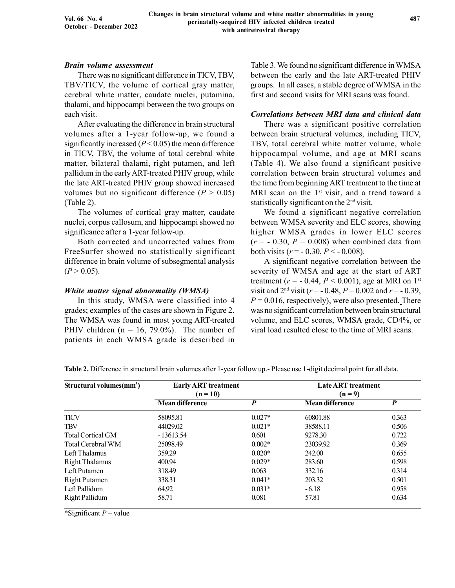#### Brain volume assessment

There was no significant difference in TICV, TBV, TBV/TICV, the volume of cortical gray matter, cerebral white matter, caudate nuclei, putamina, thalami, and hippocampi between the two groups on each visit.

After evaluating the difference in brain structural volumes after a 1-year follow-up, we found a significantly increased  $(P < 0.05)$  the mean difference in TICV, TBV, the volume of total cerebral white matter, bilateral thalami, right putamen, and left pallidum in the early ART-treated PHIV group, while the late ART-treated PHIV group showed increased volumes but no significant difference ( $P > 0.05$ ) (Table 2).

The volumes of cortical gray matter, caudate nuclei, corpus callosum, and hippocampi showed no significance after a 1-year follow-up.

Both corrected and uncorrected values from FreeSurfer showed no statistically significant difference in brain volume of subsegmental analysis  $(P > 0.05)$ .

#### White matter signal abnormality (WMSA)

In this study, WMSA were classified into 4 grades; examples of the cases are shown in Figure 2. The WMSA was found in most young ART-treated PHIV children ( $n = 16, 79.0\%$ ). The number of patients in each WMSA grade is described in

Table 3. We found no significant difference in WMSA between the early and the late ART-treated PHIV groups. In all cases, a stable degree of WMSA in the first and second visits for MRI scans was found.

## Correlations between MRI data and clinical data

There was a significant positive correlation between brain structural volumes, including TICV, TBV, total cerebral white matter volume, whole hippocampal volume, and age at MRI scans (Table 4). We also found a significant positive correlation between brain structural volumes and the time from beginning ART treatment to the time at MRI scan on the  $1<sup>st</sup>$  visit, and a trend toward a statistically significant on the 2nd visit.

We found a significant negative correlation between WMSA severity and ELC scores, showing higher WMSA grades in lower ELC scores  $(r = -0.30, P = 0.008)$  when combined data from both visits ( $r = -0.30, P < -0.008$ ).

A significant negative correlation between the severity of WMSA and age at the start of ART treatment ( $r = -0.44$ ,  $P < 0.001$ ), age at MRI on 1<sup>st</sup> visit and  $2<sup>nd</sup>$  visit ( $r = -0.48$ ,  $P = 0.002$  and  $r = -0.39$ ,  $P = 0.016$ , respectively), were also presented. There was no significant correlation between brain structural volume, and ELC scores, WMSA grade, CD4%, or viral load resulted close to the time of MRI scans.

| Structural volumes(mm <sup>3</sup> ) | <b>Early ART</b> treatment<br>$(n = 10)$ |          | <b>Late ART</b> treatment<br>$(n = 9)$ |                  |  |  |
|--------------------------------------|------------------------------------------|----------|----------------------------------------|------------------|--|--|
|                                      | <b>Mean difference</b>                   | P        | <b>Mean difference</b>                 | $\boldsymbol{P}$ |  |  |
| <b>TICV</b>                          | 58095.81                                 | $0.027*$ | 60801.88                               | 0.363            |  |  |
| <b>TBV</b>                           | 44029.02                                 | $0.021*$ | 38588.11                               | 0.506            |  |  |
| <b>Total Cortical GM</b>             | $-13613.54$                              | 0.601    | 9278.30                                | 0.722            |  |  |
| Total Cerebral WM                    | 25098.49                                 | $0.002*$ | 23039.92                               | 0.369            |  |  |
| Left Thalamus                        | 359.29                                   | $0.020*$ | 242.00                                 | 0.655            |  |  |
| <b>Right Thalamus</b>                | 400.94                                   | $0.029*$ | 283.60                                 | 0.598            |  |  |
| Left Putamen                         | 318.49                                   | 0.063    | 332.16                                 | 0.314            |  |  |
| <b>Right Putamen</b>                 | 338.31                                   | $0.041*$ | 203.32                                 | 0.501            |  |  |
| Left Pallidum                        | 64.92                                    | $0.031*$ | $-6.18$                                | 0.958            |  |  |
| <b>Right Pallidum</b>                | 58.71                                    | 0.081    | 57.81                                  | 0.634            |  |  |

Table 2. Difference in structural brain volumes after 1-year follow up.- Please use 1-digit decimal point for all data.

\*Significant  $P$  – value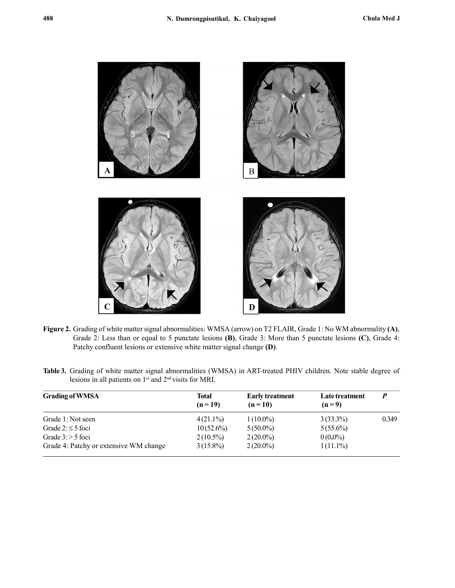

- Figure 2. Grading of white matter signal abnormalities: WMSA (arrow) on T2 FLAIR, Grade 1: No WM abnormality (A), Grade 2: Less than or equal to 5 punctate lesions (B), Grade 3: More than 5 punctate lesions (C), Grade 4: Patchy confluent lesions or extensive white matter signal change (D).
- Table 3. Grading of white matter signal abnormalities (WMSA) in ART-treated PHIV children. Note stable degree of lesions in all patients on 1st and 2nd visits for MRI.

| <b>Grading of WMSA</b>                 | Total<br>$(n=19)$ | <b>Early treatment</b><br>$(n=10)$ | Late treatment<br>$(n=9)$ | $\boldsymbol{P}$ |
|----------------------------------------|-------------------|------------------------------------|---------------------------|------------------|
| Grade 1: Not seen                      | $4(21.1\%)$       | $1(10.0\%)$                        | $3(33.3\%)$               | 0.349            |
| Grade $2: \leq 5$ foci                 | $10(52.6\%)$      | $5(50.0\%)$                        | $5(55.6\%)$               |                  |
| Grade $3:$ > 5 foci                    | $2(10.5\%)$       | $2(20.0\%)$                        | $0(0.0\%)$                |                  |
| Grade 4: Patchy or extensive WM change | $3(15.8\%)$       | $2(20.0\%)$                        | $1(11.1\%)$               |                  |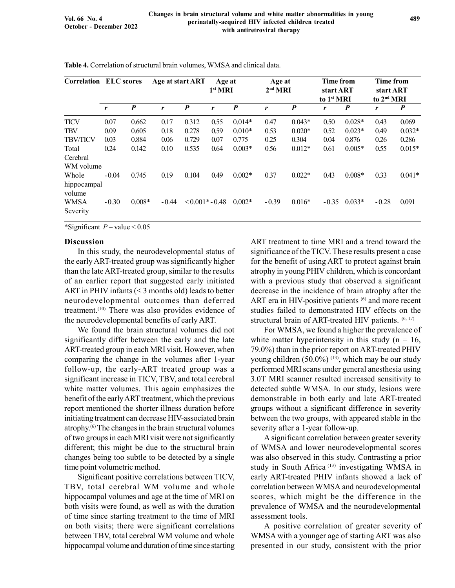|                                   | <b>Correlation ELC scores</b> |                  | Age at start ART |                   | Age at<br>1 <sup>st</sup> MRI |                  | Age at<br>2 <sup>nd</sup> MRI |                  | <b>Time from</b><br>start ART<br>to 1 <sup>st</sup> MRI |                  | <b>Time from</b><br>start ART<br>to 2 <sup>nd</sup> MRI |                  |
|-----------------------------------|-------------------------------|------------------|------------------|-------------------|-------------------------------|------------------|-------------------------------|------------------|---------------------------------------------------------|------------------|---------------------------------------------------------|------------------|
|                                   | r                             | $\boldsymbol{P}$ | r                | P                 | r                             | $\boldsymbol{P}$ | r                             | $\boldsymbol{P}$ | r                                                       | $\boldsymbol{P}$ | r                                                       | $\boldsymbol{P}$ |
| <b>TICV</b>                       | 0.07                          | 0.662            | 0.17             | 0.312             | 0.55                          | $0.014*$         | 0.47                          | $0.043*$         | 0.50                                                    | $0.028*$         | 0.43                                                    | 0.069            |
| <b>TBV</b>                        | 0.09                          | 0.605            | 0.18             | 0.278             | 0.59                          | $0.010*$         | 0.53                          | $0.020*$         | 0.52                                                    | $0.023*$         | 0.49                                                    | $0.032*$         |
| <b>TBV/TICV</b>                   | 0.03                          | 0.884            | 0.06             | 0.729             | 0.07                          | 0.775            | 0.25                          | 0.304            | 0.04                                                    | 0.876            | 0.26                                                    | 0.286            |
| Total<br>Cerebral                 | 0.24                          | 0.142            | 0.10             | 0.535             | 0.64                          | $0.003*$         | 0.56                          | $0.012*$         | 0.61                                                    | $0.005*$         | 0.55                                                    | $0.015*$         |
| WM volume                         |                               |                  |                  |                   |                               |                  |                               |                  |                                                         |                  |                                                         |                  |
| Whole<br>hippocampal              | $-0.04$                       | 0.745            | 0.19             | 0.104             | 0.49                          | $0.002*$         | 0.37                          | $0.022*$         | 0.43                                                    | $0.008*$         | 0.33                                                    | $0.041*$         |
| volume<br><b>WMSA</b><br>Severity | $-0.30$                       | $0.008*$         | $-0.44$          | $< 0.001* - 0.48$ |                               | $0.002*$         | $-0.39$                       | $0.016*$         | $-0.35$                                                 | $0.033*$         | $-0.28$                                                 | 0.091            |

Table 4. Correlation of structural brain volumes, WMSA and clinical data.

\*Significant  $P$  – value < 0.05

#### Discussion

In this study, the neurodevelopmental status of the early ART-treated group was significantly higher than the late ART-treated group, similar to the results of an earlier report that suggested early initiated ART in PHIV infants (< 3 months old) leads to better neurodevelopmental outcomes than deferred treatment.<sup>(10)</sup> There was also provides evidence of the neurodevelopmental benefits of early ART.

We found the brain structural volumes did not significantly differ between the early and the late ART-treated group in each MRI visit. However, when comparing the change in the volumes after 1-year follow-up, the early-ART treated group was a significant increase in TICV, TBV, and total cerebral white matter volumes. This again emphasizes the benefit of the early ART treatment, which the previous report mentioned the shorter illness duration before initiating treatment can decrease HIV-associated brain atrophy.(6) The changes in the brain structural volumes of two groups in each MRI visit were not significantly different; this might be due to the structural brain changes being too subtle to be detected by a single time point volumetric method.

Significant positive correlations between TICV, TBV, total cerebral WM volume and whole hippocampal volumes and age at the time of MRI on both visits were found, as well as with the duration of time since starting treatment to the time of MRI on both visits; there were significant correlations between TBV, total cerebral WM volume and whole hippocampal volume and duration of time since starting ART treatment to time MRI and a trend toward the significance of the TICV. These results present a case for the benefit of using ART to protect against brain atrophy in young PHIV children, which is concordant with a previous study that observed a significant decrease in the incidence of brain atrophy after the ART era in HIV-positive patients  $^{(6)}$  and more recent studies failed to demonstrated HIV effects on the structural brain of ART-treated HIV patients.  $(6, 17)$ 

For WMSA, we found a higher the prevalence of white matter hyperintensity in this study ( $n = 16$ , 79.0%) than in the prior report on ART-treated PHIV young children (50.0%)<sup>(13)</sup>, which may be our study performed MRI scans under general anesthesia using 3.0T MRI scanner resulted increased sensitivity to detected subtle WMSA. In our study, lesions were demonstrable in both early and late ART-treated groups without a significant difference in severity between the two groups, with appeared stable in the severity after a 1-year follow-up.

A significant correlation between greater severity of WMSA and lower neurodevelopmental scores was also observed in this study. Contrasting a prior study in South Africa (13) investigating WMSA in early ART-treated PHIV infants showed a lack of correlation between WMSA and neurodevelopmental scores, which might be the difference in the prevalence of WMSA and the neurodevelopmental assessment tools.

A positive correlation of greater severity of WMSA with a younger age of starting ART was also presented in our study, consistent with the prior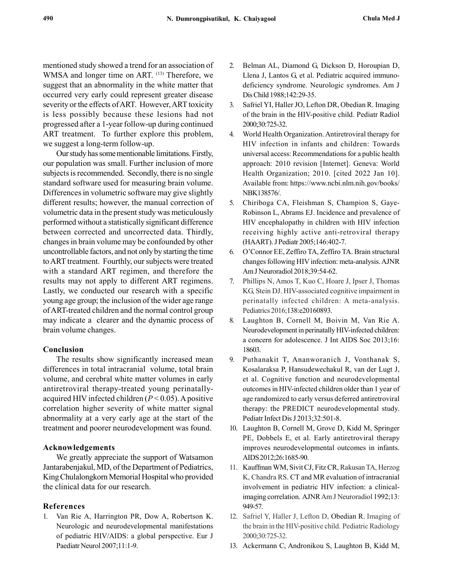mentioned study showed a trend for an association of WMSA and longer time on ART. (13) Therefore, we suggest that an abnormality in the white matter that occurred very early could represent greater disease severity or the effects of ART. However, ART toxicity is less possibly because these lesions had not progressed after a 1-year follow-up during continued ART treatment. To further explore this problem, we suggest a long-term follow-up.

Our study has some mentionable limitations. Firstly, our population was small. Further inclusion of more subjects is recommended. Secondly, there is no single standard software used for measuring brain volume. Differences in volumetric software may give slightly different results; however, the manual correction of volumetric data in the present study was meticulously performed without a statistically significant difference between corrected and uncorrected data. Thirdly, changes in brain volume may be confounded by other uncontrollable factors, and not only by starting the time to ART treatment. Fourthly, our subjects were treated with a standard ART regimen, and therefore the results may not apply to different ART regimens. Lastly, we conducted our research with a specific young age group; the inclusion of the wider age range of ART-treated children and the normal control group may indicate a clearer and the dynamic process of brain volume changes.

#### Conclusion

The results show significantly increased mean differences in total intracranial volume, total brain volume, and cerebral white matter volumes in early antiretroviral therapy-treated young perinatallyacquired HIV infected children  $(P < 0.05)$ . A positive correlation higher severity of white matter signal abnormality at a very early age at the start of the treatment and poorer neurodevelopment was found.

#### Acknowledgements

We greatly appreciate the support of Watsamon Jantarabenjakul, MD, of the Department of Pediatrics, King Chulalongkorn Memorial Hospital who provided the clinical data for our research.

#### References

1. Van Rie A, Harrington PR, Dow A, Robertson K. Neurologic and neurodevelopmental manifestations of pediatric HIV/AIDS: a global perspective. Eur J Paediatr Neurol 2007;11:1-9.

- 2. Belman AL, Diamond G, Dickson D, Horoupian D, Llena J, Lantos G, et al. Pediatric acquired immunodeficiency syndrome. Neurologic syndromes. Am J Dis Child 1988;142:29-35.
- 3. Safriel YI, Haller JO, Lefton DR, Obedian R. Imaging of the brain in the HIV-positive child. Pediatr Radiol 2000;30:725-32.
- 4. World Health Organization. Antiretroviral therapy for HIV infection in infants and children: Towards universal access: Recommendations for a public health approach: 2010 revision [Internet]. Geneva: World Health Organization; 2010. [cited 2022 Jan 10]. Available from: https://www.ncbi.nlm.nih.gov/books/ NBK138576/.
- 5. Chiriboga CA, Fleishman S, Champion S, Gaye-Robinson L, Abrams EJ. Incidence and prevalence of HIV encephalopathy in children with HIV infection receiving highly active anti-retroviral therapy (HAART). J Pediatr 2005;146:402-7.
- 6. O'Connor EE, Zeffiro TA, Zeffiro TA. Brain structural changes following HIV infection: meta-analysis. AJNR Am J Neuroradiol 2018;39:54-62.
- 7. Phillips N, Amos T, Kuo C, Hoare J, Ipser J, Thomas KG, Stein DJ. HIV-associated cognitive impairment in perinatally infected children: A meta-analysis. Pediatrics 2016;138:e20160893.
- 8. Laughton B, Cornell M, Boivin M, Van Rie A. Neurodevelopment in perinatally HIV-infected children: a concern for adolescence. J Int AIDS Soc 2013;16: 18603.
- 9. Puthanakit T, Ananworanich J, Vonthanak S, Kosalaraksa P, Hansudewechakul R, van der Lugt J, et al. Cognitive function and neurodevelopmental outcomes in HIV-infected children older than 1 year of age randomized to early versus deferred antiretroviral therapy: the PREDICT neurodevelopmental study. Pediatr Infect Dis J 2013;32:501-8.
- 10. Laughton B, Cornell M, Grove D, Kidd M, Springer PE, Dobbels E, et al. Early antiretroviral therapy improves neurodevelopmental outcomes in infants. AIDS 2012;26:1685-90.
- 11. Kauffman WM, Sivit CJ, Fitz CR, Rakusan TA, Herzog K, Chandra RS. CT and MR evaluation of intracranial involvement in pediatric HIV infection: a clinicalimaging correlation. AJNR Am J Neuroradiol 1992;13: 949-57.
- 12. Safriel Y, Haller J, Lefton D, Obedian R. Imaging of the brain in the HIV-positive child. Pediatric Radiology 2000;30:725-32.
- 13. Ackermann C, Andronikou S, Laughton B, Kidd M,